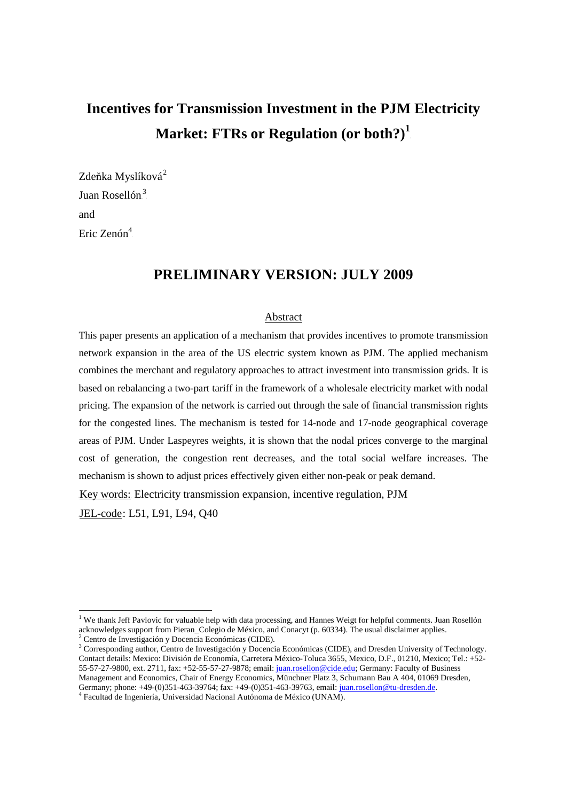# **Incentives for Transmission Investment in the PJM Electricity**   $\mathbf{Market:} \mathbf{FTRs}$  or  $\mathbf{Regulation}$  (or  $\mathbf{both?})^1$

Zdeňka Myslíková $^2$ Juan Rosellón<sup>3</sup> and Eric Zenón<sup>4</sup>

# **PRELIMINARY VERSION: JULY 2009**

#### Abstract

This paper presents an application of a mechanism that provides incentives to promote transmission network expansion in the area of the US electric system known as PJM. The applied mechanism combines the merchant and regulatory approaches to attract investment into transmission grids. It is based on rebalancing a two-part tariff in the framework of a wholesale electricity market with nodal pricing. The expansion of the network is carried out through the sale of financial transmission rights for the congested lines. The mechanism is tested for 14-node and 17-node geographical coverage areas of PJM. Under Laspeyres weights, it is shown that the nodal prices converge to the marginal cost of generation, the congestion rent decreases, and the total social welfare increases. The mechanism is shown to adjust prices effectively given either non-peak or peak demand.

Key words: Electricity transmission expansion, incentive regulation, PJM

JEL-code: L51, L91, L94, Q40

 $\overline{a}$ 

4 Facultad de Ingeniería, Universidad Nacional Autónoma de México (UNAM).

<sup>&</sup>lt;sup>1</sup> We thank Jeff Pavlovic for valuable help with data processing, and Hannes Weigt for helpful comments. Juan Rosellón acknowledges support from Pieran\_Colegio de México, and Conacyt (p. 60334). The usual disclaimer applies. 2 Centro de Investigación y Docencia Económicas (CIDE).

<sup>&</sup>lt;sup>3</sup> Corresponding author, Centro de Investigación y Docencia Económicas (CIDE), and Dresden University of Technology. Contact details: Mexico: División de Economía, Carretera México-Toluca 3655, Mexico, D.F., 01210, Mexico; Tel.: +52- 55-57-27-9800, ext. 2711, fax: +52-55-57-27-9878; email: juan.rosellon@cide.edu; Germany: Faculty of Business Management and Economics, Chair of Energy Economics, Münchner Platz 3, Schumann Bau A 404, 01069 Dresden, Germany; phone: +49-(0)351-463-39764; fax: +49-(0)351-463-39763, email: juan.rosellon@tu-dresden.de.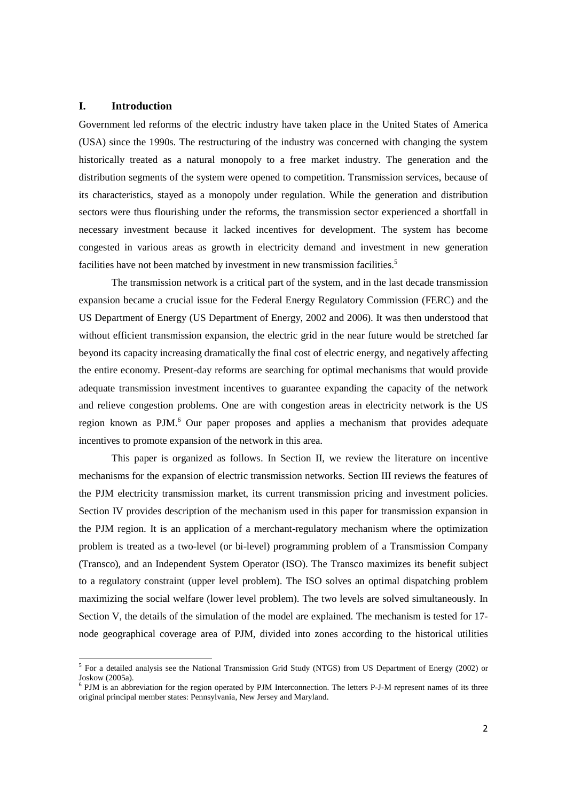#### **I. Introduction**

l,

Government led reforms of the electric industry have taken place in the United States of America (USA) since the 1990s. The restructuring of the industry was concerned with changing the system historically treated as a natural monopoly to a free market industry. The generation and the distribution segments of the system were opened to competition. Transmission services, because of its characteristics, stayed as a monopoly under regulation. While the generation and distribution sectors were thus flourishing under the reforms, the transmission sector experienced a shortfall in necessary investment because it lacked incentives for development. The system has become congested in various areas as growth in electricity demand and investment in new generation facilities have not been matched by investment in new transmission facilities.<sup>5</sup>

The transmission network is a critical part of the system, and in the last decade transmission expansion became a crucial issue for the Federal Energy Regulatory Commission (FERC) and the US Department of Energy (US Department of Energy, 2002 and 2006). It was then understood that without efficient transmission expansion, the electric grid in the near future would be stretched far beyond its capacity increasing dramatically the final cost of electric energy, and negatively affecting the entire economy. Present-day reforms are searching for optimal mechanisms that would provide adequate transmission investment incentives to guarantee expanding the capacity of the network and relieve congestion problems. One are with congestion areas in electricity network is the US region known as PJM.<sup>6</sup> Our paper proposes and applies a mechanism that provides adequate incentives to promote expansion of the network in this area.

This paper is organized as follows. In Section II, we review the literature on incentive mechanisms for the expansion of electric transmission networks. Section III reviews the features of the PJM electricity transmission market, its current transmission pricing and investment policies. Section IV provides description of the mechanism used in this paper for transmission expansion in the PJM region. It is an application of a merchant-regulatory mechanism where the optimization problem is treated as a two-level (or bi-level) programming problem of a Transmission Company (Transco), and an Independent System Operator (ISO). The Transco maximizes its benefit subject to a regulatory constraint (upper level problem). The ISO solves an optimal dispatching problem maximizing the social welfare (lower level problem). The two levels are solved simultaneously. In Section V, the details of the simulation of the model are explained. The mechanism is tested for 17 node geographical coverage area of PJM, divided into zones according to the historical utilities

<sup>&</sup>lt;sup>5</sup> For a detailed analysis see the National Transmission Grid Study (NTGS) from US Department of Energy (2002) or Joskow (2005a).<br><sup>6</sup> PJM is an abbreviation for the region operated by PJM Interconnection. The letters P-J-M represent names of its three

original principal member states: Pennsylvania, New Jersey and Maryland.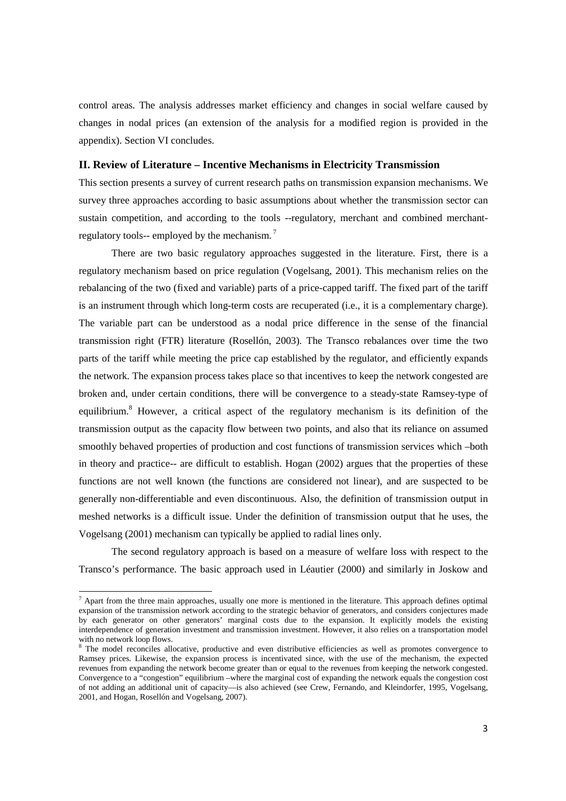control areas. The analysis addresses market efficiency and changes in social welfare caused by changes in nodal prices (an extension of the analysis for a modified region is provided in the appendix). Section VI concludes.

#### **II. Review of Literature – Incentive Mechanisms in Electricity Transmission**

This section presents a survey of current research paths on transmission expansion mechanisms. We survey three approaches according to basic assumptions about whether the transmission sector can sustain competition, and according to the tools --regulatory, merchant and combined merchantregulatory tools-- employed by the mechanism.<sup>7</sup>

There are two basic regulatory approaches suggested in the literature. First, there is a regulatory mechanism based on price regulation (Vogelsang, 2001). This mechanism relies on the rebalancing of the two (fixed and variable) parts of a price-capped tariff. The fixed part of the tariff is an instrument through which long-term costs are recuperated (i.e., it is a complementary charge). The variable part can be understood as a nodal price difference in the sense of the financial transmission right (FTR) literature (Rosellón, 2003). The Transco rebalances over time the two parts of the tariff while meeting the price cap established by the regulator, and efficiently expands the network. The expansion process takes place so that incentives to keep the network congested are broken and, under certain conditions, there will be convergence to a steady-state Ramsey-type of equilibrium.<sup>8</sup> However, a critical aspect of the regulatory mechanism is its definition of the transmission output as the capacity flow between two points, and also that its reliance on assumed smoothly behaved properties of production and cost functions of transmission services which –both in theory and practice-- are difficult to establish. Hogan (2002) argues that the properties of these functions are not well known (the functions are considered not linear), and are suspected to be generally non-differentiable and even discontinuous. Also, the definition of transmission output in meshed networks is a difficult issue. Under the definition of transmission output that he uses, the Vogelsang (2001) mechanism can typically be applied to radial lines only.

The second regulatory approach is based on a measure of welfare loss with respect to the Transco's performance. The basic approach used in Léautier (2000) and similarly in Joskow and

 $\overline{a}$ 

 $<sup>7</sup>$  Apart from the three main approaches, usually one more is mentioned in the literature. This approach defines optimal</sup> expansion of the transmission network according to the strategic behavior of generators, and considers conjectures made by each generator on other generators' marginal costs due to the expansion. It explicitly models the existing interdependence of generation investment and transmission investment. However, it also relies on a transportation model with no network loop flows.

<sup>&</sup>lt;sup>8</sup> The model reconciles allocative, productive and even distributive efficiencies as well as promotes convergence to Ramsey prices. Likewise, the expansion process is incentivated since, with the use of the mechanism, the expected revenues from expanding the network become greater than or equal to the revenues from keeping the network congested. Convergence to a "congestion" equilibrium –where the marginal cost of expanding the network equals the congestion cost of not adding an additional unit of capacity—is also achieved (see Crew, Fernando, and Kleindorfer, 1995, Vogelsang, 2001, and Hogan, Rosellón and Vogelsang, 2007).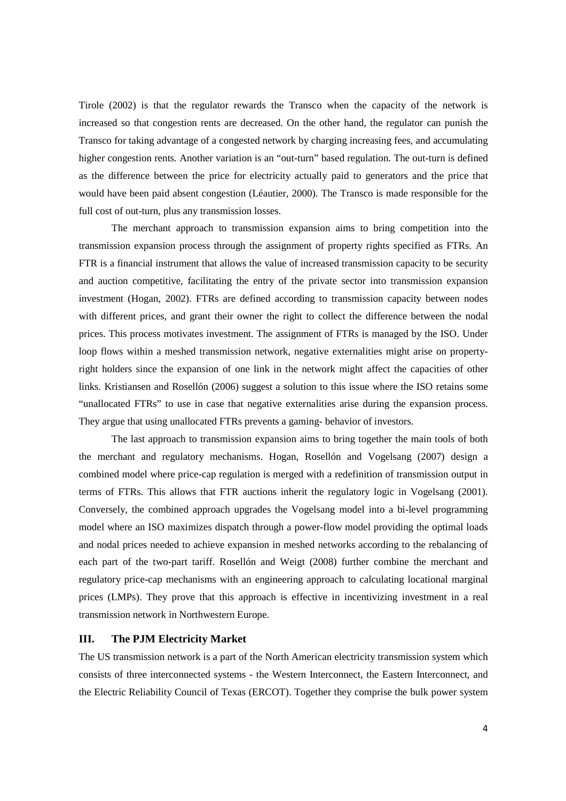Tirole (2002) is that the regulator rewards the Transco when the capacity of the network is increased so that congestion rents are decreased. On the other hand, the regulator can punish the Transco for taking advantage of a congested network by charging increasing fees, and accumulating higher congestion rents. Another variation is an "out-turn" based regulation. The out-turn is defined as the difference between the price for electricity actually paid to generators and the price that would have been paid absent congestion (Léautier, 2000). The Transco is made responsible for the full cost of out-turn, plus any transmission losses.

The merchant approach to transmission expansion aims to bring competition into the transmission expansion process through the assignment of property rights specified as FTRs. An FTR is a financial instrument that allows the value of increased transmission capacity to be security and auction competitive, facilitating the entry of the private sector into transmission expansion investment (Hogan, 2002). FTRs are defined according to transmission capacity between nodes with different prices, and grant their owner the right to collect the difference between the nodal prices. This process motivates investment. The assignment of FTRs is managed by the ISO. Under loop flows within a meshed transmission network, negative externalities might arise on propertyright holders since the expansion of one link in the network might affect the capacities of other links. Kristiansen and Rosellón (2006) suggest a solution to this issue where the ISO retains some "unallocated FTRs" to use in case that negative externalities arise during the expansion process. They argue that using unallocated FTRs prevents a gaming- behavior of investors.

The last approach to transmission expansion aims to bring together the main tools of both the merchant and regulatory mechanisms. Hogan, Rosellón and Vogelsang (2007) design a combined model where price-cap regulation is merged with a redefinition of transmission output in terms of FTRs. This allows that FTR auctions inherit the regulatory logic in Vogelsang (2001). Conversely, the combined approach upgrades the Vogelsang model into a bi-level programming model where an ISO maximizes dispatch through a power-flow model providing the optimal loads and nodal prices needed to achieve expansion in meshed networks according to the rebalancing of each part of the two-part tariff. Rosellón and Weigt (2008) further combine the merchant and regulatory price-cap mechanisms with an engineering approach to calculating locational marginal prices (LMPs). They prove that this approach is effective in incentivizing investment in a real transmission network in Northwestern Europe.

### **III. The PJM Electricity Market**

The US transmission network is a part of the North American electricity transmission system which consists of three interconnected systems - the Western Interconnect, the Eastern Interconnect, and the Electric Reliability Council of Texas (ERCOT). Together they comprise the bulk power system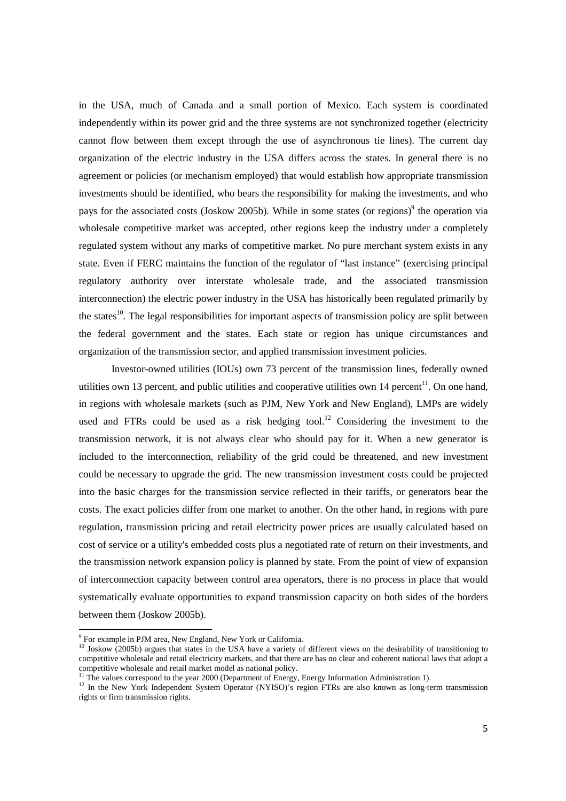in the USA, much of Canada and a small portion of Mexico. Each system is coordinated independently within its power grid and the three systems are not synchronized together (electricity cannot flow between them except through the use of asynchronous tie lines). The current day organization of the electric industry in the USA differs across the states. In general there is no agreement or policies (or mechanism employed) that would establish how appropriate transmission investments should be identified, who bears the responsibility for making the investments, and who pays for the associated costs (Joskow 2005b). While in some states (or regions)<sup>9</sup> the operation via wholesale competitive market was accepted, other regions keep the industry under a completely regulated system without any marks of competitive market. No pure merchant system exists in any state. Even if FERC maintains the function of the regulator of "last instance" (exercising principal regulatory authority over interstate wholesale trade, and the associated transmission interconnection) the electric power industry in the USA has historically been regulated primarily by the states<sup>10</sup>. The legal responsibilities for important aspects of transmission policy are split between the federal government and the states. Each state or region has unique circumstances and organization of the transmission sector, and applied transmission investment policies.

 Investor-owned utilities (IOUs) own 73 percent of the transmission lines, federally owned utilities own 13 percent, and public utilities and cooperative utilities own 14 percent<sup>11</sup>. On one hand, in regions with wholesale markets (such as PJM, New York and New England), LMPs are widely used and FTRs could be used as a risk hedging tool.<sup>12</sup> Considering the investment to the transmission network, it is not always clear who should pay for it. When a new generator is included to the interconnection, reliability of the grid could be threatened, and new investment could be necessary to upgrade the grid. The new transmission investment costs could be projected into the basic charges for the transmission service reflected in their tariffs, or generators bear the costs. The exact policies differ from one market to another. On the other hand, in regions with pure regulation, transmission pricing and retail electricity power prices are usually calculated based on cost of service or a utility's embedded costs plus a negotiated rate of return on their investments, and the transmission network expansion policy is planned by state. From the point of view of expansion of interconnection capacity between control area operators, there is no process in place that would systematically evaluate opportunities to expand transmission capacity on both sides of the borders between them (Joskow 2005b).

<sup>&</sup>lt;sup>9</sup> For example in PJM area, New England, New York or California.

<sup>&</sup>lt;sup>10</sup> Joskow (2005b) argues that states in the USA have a variety of different views on the desirability of transitioning to competitive wholesale and retail electricity markets, and that there are has no clear and coherent national laws that adopt a competitive wholesale and retail market model as national policy.

<sup>&</sup>lt;sup>11</sup> The values correspond to the year 2000 (Department of Energy, Energy Information Administration 1).

<sup>&</sup>lt;sup>12</sup> In the New York Independent System Operator (NYISO)'s region FTRs are also known as long-term transmission rights or firm transmission rights.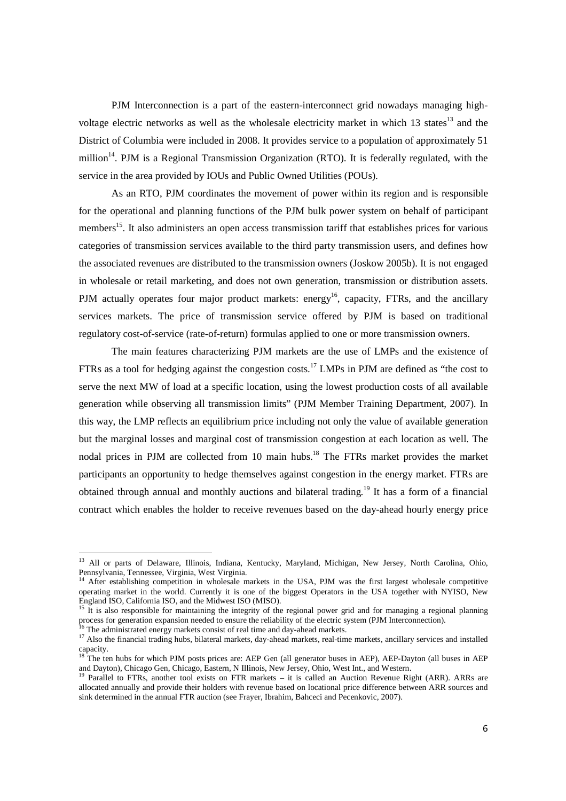PJM Interconnection is a part of the eastern-interconnect grid nowadays managing highvoltage electric networks as well as the wholesale electricity market in which 13 states<sup>13</sup> and the District of Columbia were included in 2008. It provides service to a population of approximately 51 million<sup>14</sup>. PJM is a Regional Transmission Organization (RTO). It is federally regulated, with the service in the area provided by IOUs and Public Owned Utilities (POUs).

As an RTO, PJM coordinates the movement of power within its region and is responsible for the operational and planning functions of the PJM bulk power system on behalf of participant members<sup>15</sup>. It also administers an open access transmission tariff that establishes prices for various categories of transmission services available to the third party transmission users, and defines how the associated revenues are distributed to the transmission owners (Joskow 2005b). It is not engaged in wholesale or retail marketing, and does not own generation, transmission or distribution assets. PJM actually operates four major product markets: energy<sup>16</sup>, capacity, FTRs, and the ancillary services markets. The price of transmission service offered by PJM is based on traditional regulatory cost-of-service (rate-of-return) formulas applied to one or more transmission owners.

The main features characterizing PJM markets are the use of LMPs and the existence of FTRs as a tool for hedging against the congestion costs.<sup>17</sup> LMPs in PJM are defined as "the cost to serve the next MW of load at a specific location, using the lowest production costs of all available generation while observing all transmission limits" (PJM Member Training Department, 2007). In this way, the LMP reflects an equilibrium price including not only the value of available generation but the marginal losses and marginal cost of transmission congestion at each location as well. The nodal prices in PJM are collected from 10 main hubs. <sup>18</sup> The FTRs market provides the market participants an opportunity to hedge themselves against congestion in the energy market. FTRs are obtained through annual and monthly auctions and bilateral trading.<sup>19</sup> It has a form of a financial contract which enables the holder to receive revenues based on the day-ahead hourly energy price

<sup>&</sup>lt;sup>13</sup> All or parts of Delaware, Illinois, Indiana, Kentucky, Maryland, Michigan, New Jersey, North Carolina, Ohio, Pennsylvania, Tennessee, Virginia, West Virginia.

<sup>&</sup>lt;sup>14</sup> After establishing competition in wholesale markets in the USA, PJM was the first largest wholesale competitive operating market in the world. Currently it is one of the biggest Operators in the USA together with NYISO, New England ISO, California ISO, and the Midwest ISO (MISO).

<sup>&</sup>lt;sup>15</sup> It is also responsible for maintaining the integrity of the regional power grid and for managing a regional planning process for generation expansion needed to ensure the reliability of the electric system (PJM Interconnection).

The administrated energy markets consist of real time and day-ahead markets.

<sup>&</sup>lt;sup>17</sup> Also the financial trading hubs, bilateral markets, day-ahead markets, real-time markets, ancillary services and installed capacity.

<sup>&</sup>lt;sup>18</sup> The ten hubs for which PJM posts prices are: AEP Gen (all generator buses in AEP), AEP-Dayton (all buses in AEP and Dayton), Chicago Gen, Chicago, Eastern, N Illinois, New Jersey, Ohio, West Int., and Western.

<sup>&</sup>lt;sup>19</sup> Parallel to FTRs, another tool exists on FTR markets – it is called an Auction Revenue Right (ARR). ARRs are allocated annually and provide their holders with revenue based on locational price difference between ARR sources and sink determined in the annual FTR auction (see Frayer, Ibrahim, Bahceci and Pecenkovic*,* 2007).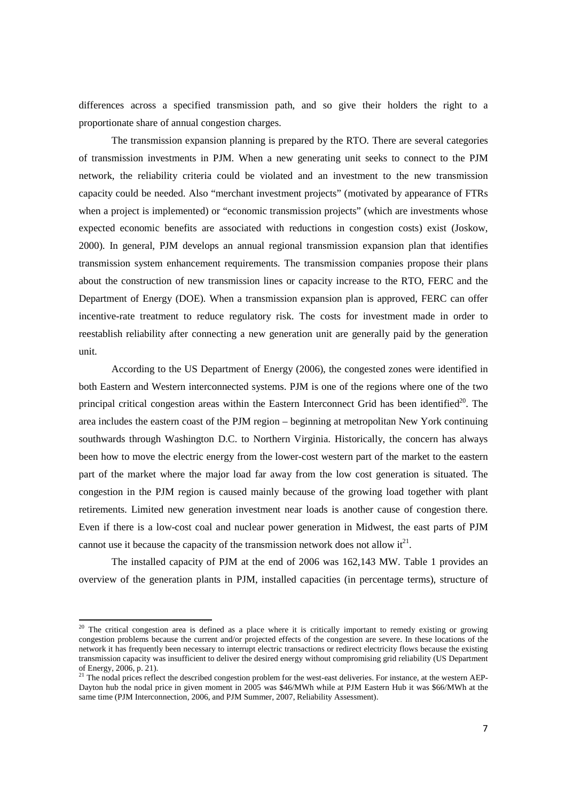differences across a specified transmission path, and so give their holders the right to a proportionate share of annual congestion charges.

The transmission expansion planning is prepared by the RTO. There are several categories of transmission investments in PJM. When a new generating unit seeks to connect to the PJM network, the reliability criteria could be violated and an investment to the new transmission capacity could be needed. Also "merchant investment projects" (motivated by appearance of FTRs when a project is implemented) or "economic transmission projects" (which are investments whose expected economic benefits are associated with reductions in congestion costs) exist (Joskow, 2000). In general, PJM develops an annual regional transmission expansion plan that identifies transmission system enhancement requirements. The transmission companies propose their plans about the construction of new transmission lines or capacity increase to the RTO, FERC and the Department of Energy (DOE). When a transmission expansion plan is approved, FERC can offer incentive-rate treatment to reduce regulatory risk. The costs for investment made in order to reestablish reliability after connecting a new generation unit are generally paid by the generation unit.

According to the US Department of Energy (2006), the congested zones were identified in both Eastern and Western interconnected systems. PJM is one of the regions where one of the two principal critical congestion areas within the Eastern Interconnect Grid has been identified<sup>20</sup>. The area includes the eastern coast of the PJM region – beginning at metropolitan New York continuing southwards through Washington D.C. to Northern Virginia. Historically, the concern has always been how to move the electric energy from the lower-cost western part of the market to the eastern part of the market where the major load far away from the low cost generation is situated. The congestion in the PJM region is caused mainly because of the growing load together with plant retirements. Limited new generation investment near loads is another cause of congestion there. Even if there is a low-cost coal and nuclear power generation in Midwest, the east parts of PJM cannot use it because the capacity of the transmission network does not allow  $it^{21}$ .

The installed capacity of PJM at the end of 2006 was 162,143 MW. Table 1 provides an overview of the generation plants in PJM, installed capacities (in percentage terms), structure of

<sup>&</sup>lt;sup>20</sup> The critical congestion area is defined as a place where it is critically important to remedy existing or growing congestion problems because the current and/or projected effects of the congestion are severe. In these locations of the network it has frequently been necessary to interrupt electric transactions or redirect electricity flows because the existing transmission capacity was insufficient to deliver the desired energy without compromising grid reliability (US Department of Energy, 2006, p. 21).

 $2<sup>1</sup>$  The nodal prices reflect the described congestion problem for the west-east deliveries. For instance, at the western AEP-Dayton hub the nodal price in given moment in 2005 was \$46/MWh while at PJM Eastern Hub it was \$66/MWh at the same time (PJM Interconnection, 2006, and PJM Summer, 2007, Reliability Assessment).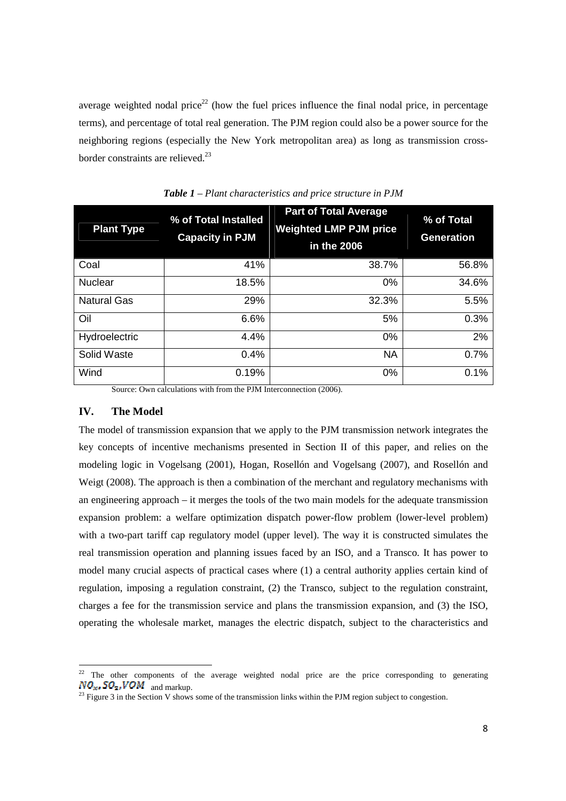average weighted nodal price<sup>22</sup> (how the fuel prices influence the final nodal price, in percentage terms), and percentage of total real generation. The PJM region could also be a power source for the neighboring regions (especially the New York metropolitan area) as long as transmission crossborder constraints are relieved.<sup>23</sup>

| <b>Plant Type</b>  | % of Total Installed<br><b>Capacity in PJM</b> | <b>Part of Total Average</b><br><b>Weighted LMP PJM price</b><br>in the 2006 | % of Total<br><b>Generation</b> |
|--------------------|------------------------------------------------|------------------------------------------------------------------------------|---------------------------------|
| Coal               | 41%                                            | 38.7%                                                                        | 56.8%                           |
| <b>Nuclear</b>     | 18.5%                                          | 0%                                                                           | 34.6%                           |
| <b>Natural Gas</b> | 29%                                            | 32.3%                                                                        | 5.5%                            |
| Oil                | 6.6%                                           | 5%                                                                           | 0.3%                            |
| Hydroelectric      | 4.4%                                           | 0%                                                                           | 2%                              |
| Solid Waste        | 0.4%                                           | <b>NA</b>                                                                    | 0.7%                            |
| Wind               | 0.19%                                          | 0%                                                                           | 0.1%                            |

*Table 1 – Plant characteristics and price structure in PJM*

Source: Own calculations with from the PJM Interconnection (2006).

# **IV. The Model**

 $\overline{a}$ 

The model of transmission expansion that we apply to the PJM transmission network integrates the key concepts of incentive mechanisms presented in Section II of this paper, and relies on the modeling logic in Vogelsang (2001), Hogan, Rosellón and Vogelsang (2007), and Rosellón and Weigt (2008). The approach is then a combination of the merchant and regulatory mechanisms with an engineering approach – it merges the tools of the two main models for the adequate transmission expansion problem: a welfare optimization dispatch power-flow problem (lower-level problem) with a two-part tariff cap regulatory model (upper level). The way it is constructed simulates the real transmission operation and planning issues faced by an ISO, and a Transco. It has power to model many crucial aspects of practical cases where (1) a central authority applies certain kind of regulation, imposing a regulation constraint, (2) the Transco, subject to the regulation constraint, charges a fee for the transmission service and plans the transmission expansion, and (3) the ISO, operating the wholesale market, manages the electric dispatch, subject to the characteristics and

 $22$  The other components of the average weighted nodal price are the price corresponding to generating  $NO_{xx}SO_{x}$ ,  $VOM$  and markup.

<sup>&</sup>lt;sup>23</sup> Figure 3 in the Section V shows some of the transmission links within the PJM region subject to congestion.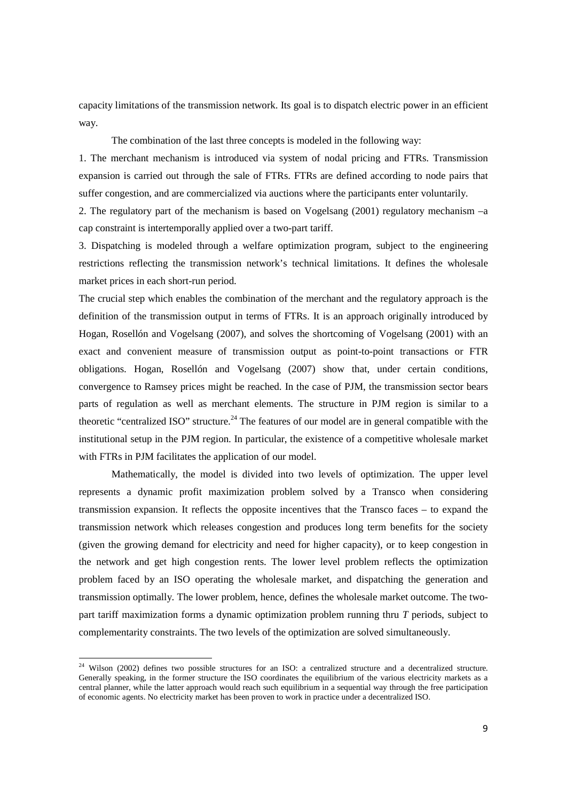capacity limitations of the transmission network. Its goal is to dispatch electric power in an efficient way.

The combination of the last three concepts is modeled in the following way:

1. The merchant mechanism is introduced via system of nodal pricing and FTRs. Transmission expansion is carried out through the sale of FTRs. FTRs are defined according to node pairs that suffer congestion, and are commercialized via auctions where the participants enter voluntarily.

2. The regulatory part of the mechanism is based on Vogelsang (2001) regulatory mechanism –a cap constraint is intertemporally applied over a two-part tariff.

3. Dispatching is modeled through a welfare optimization program, subject to the engineering restrictions reflecting the transmission network's technical limitations. It defines the wholesale market prices in each short-run period.

The crucial step which enables the combination of the merchant and the regulatory approach is the definition of the transmission output in terms of FTRs. It is an approach originally introduced by Hogan, Rosellón and Vogelsang (2007), and solves the shortcoming of Vogelsang (2001) with an exact and convenient measure of transmission output as point-to-point transactions or FTR obligations. Hogan, Rosellón and Vogelsang (2007) show that, under certain conditions, convergence to Ramsey prices might be reached. In the case of PJM, the transmission sector bears parts of regulation as well as merchant elements. The structure in PJM region is similar to a theoretic "centralized ISO" structure.<sup>24</sup> The features of our model are in general compatible with the institutional setup in the PJM region. In particular, the existence of a competitive wholesale market with FTRs in PJM facilitates the application of our model.

Mathematically, the model is divided into two levels of optimization. The upper level represents a dynamic profit maximization problem solved by a Transco when considering transmission expansion. It reflects the opposite incentives that the Transco faces – to expand the transmission network which releases congestion and produces long term benefits for the society (given the growing demand for electricity and need for higher capacity), or to keep congestion in the network and get high congestion rents. The lower level problem reflects the optimization problem faced by an ISO operating the wholesale market, and dispatching the generation and transmission optimally. The lower problem, hence, defines the wholesale market outcome. The twopart tariff maximization forms a dynamic optimization problem running thru *T* periods, subject to complementarity constraints. The two levels of the optimization are solved simultaneously.

 $\overline{a}$ 

<sup>&</sup>lt;sup>24</sup> Wilson (2002) defines two possible structures for an ISO: a centralized structure and a decentralized structure. Generally speaking, in the former structure the ISO coordinates the equilibrium of the various electricity markets as a central planner, while the latter approach would reach such equilibrium in a sequential way through the free participation of economic agents. No electricity market has been proven to work in practice under a decentralized ISO.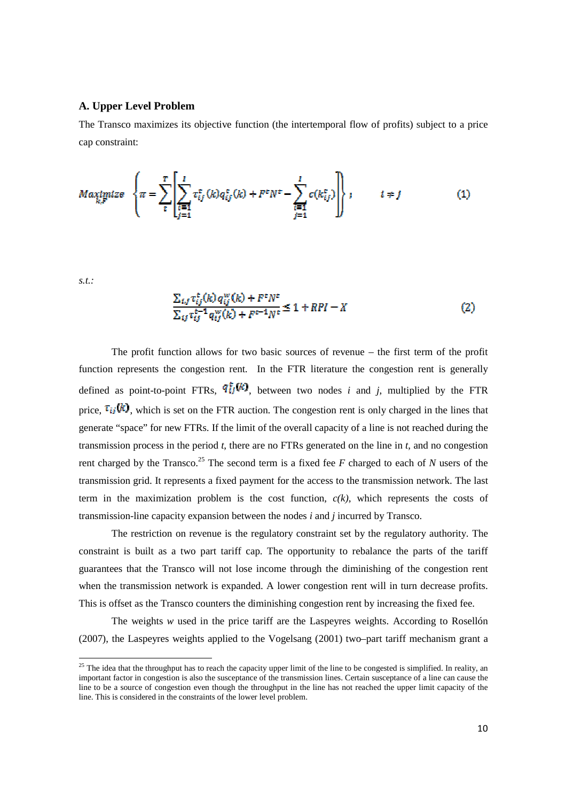#### **A. Upper Level Problem**

The Transco maximizes its objective function (the intertemporal flow of profits) subject to a price cap constraint:

$$
Maximize \left\{ \pi = \sum_{t}^{T} \left[ \sum_{i=1}^{I} \tau_{ij}^{t}(k) q_{ij}^{t}(k) + F^{t} N^{t} - \sum_{i=1}^{I} c(k_{ij}^{t}) \right] \right\}; \qquad i \neq j \tag{1}
$$

*s.t.:* 

 $\overline{a}$ 

$$
\frac{\sum_{i,j} \tau_{ij}^t(k) q_{ij}^w(k) + F^t N^t}{\sum_{ij} \tau_{ij}^{t-1} q_{ij}^w(k) + F^{t-1} N^t} \le 1 + RPI - X
$$
\n(2)

The profit function allows for two basic sources of revenue – the first term of the profit function represents the congestion rent. In the FTR literature the congestion rent is generally defined as point-to-point FTRs,  $q_{ij}^{\dagger}(k)$ , between two nodes *i* and *j*, multiplied by the FTR price,  $\tau_{ij}(k)$ , which is set on the FTR auction. The congestion rent is only charged in the lines that generate "space" for new FTRs. If the limit of the overall capacity of a line is not reached during the transmission process in the period *t*, there are no FTRs generated on the line in *t*, and no congestion rent charged by the Transco.<sup>25</sup> The second term is a fixed fee  $F$  charged to each of  $N$  users of the transmission grid. It represents a fixed payment for the access to the transmission network. The last term in the maximization problem is the cost function,  $c(k)$ , which represents the costs of transmission-line capacity expansion between the nodes *i* and *j* incurred by Transco.

The restriction on revenue is the regulatory constraint set by the regulatory authority. The constraint is built as a two part tariff cap. The opportunity to rebalance the parts of the tariff guarantees that the Transco will not lose income through the diminishing of the congestion rent when the transmission network is expanded. A lower congestion rent will in turn decrease profits. This is offset as the Transco counters the diminishing congestion rent by increasing the fixed fee.

The weights *w* used in the price tariff are the Laspeyres weights. According to Rosellón (2007), the Laspeyres weights applied to the Vogelsang (2001) two–part tariff mechanism grant a

<sup>&</sup>lt;sup>25</sup> The idea that the throughput has to reach the capacity upper limit of the line to be congested is simplified. In reality, an important factor in congestion is also the susceptance of the transmission lines. Certain susceptance of a line can cause the line to be a source of congestion even though the throughput in the line has not reached the upper limit capacity of the line. This is considered in the constraints of the lower level problem.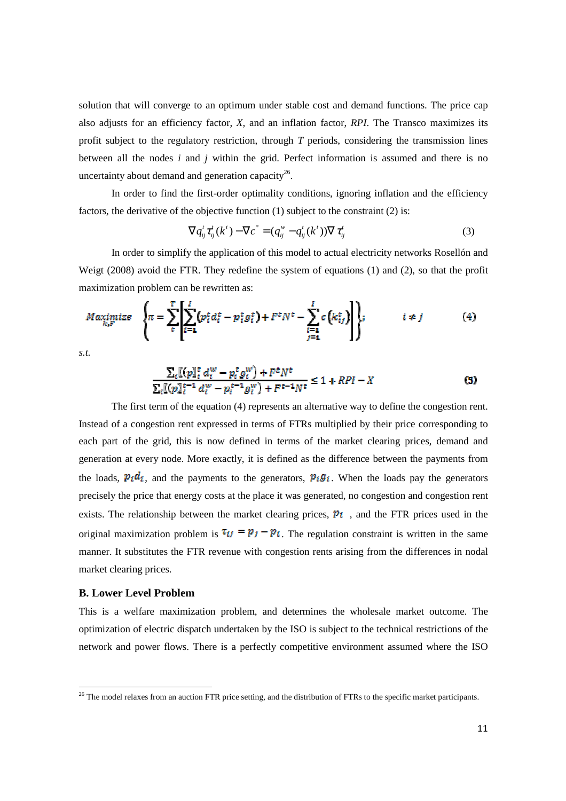solution that will converge to an optimum under stable cost and demand functions. The price cap also adjusts for an efficiency factor, *X,* and an inflation factor, *RPI*. The Transco maximizes its profit subject to the regulatory restriction, through *T* periods, considering the transmission lines between all the nodes *i* and *j* within the grid. Perfect information is assumed and there is no uncertainty about demand and generation capacity<sup>26</sup>.

In order to find the first-order optimality conditions, ignoring inflation and the efficiency factors, the derivative of the objective function (1) subject to the constraint (2) is:

$$
\nabla q_{ij}^t \tau_{ij}^t(k^t) - \nabla c^* = (q_{ij}^w - q_{ij}^t(k^t)) \nabla \tau_{ij}^t
$$
\n(3)

 In order to simplify the application of this model to actual electricity networks Rosellón and Weigt (2008) avoid the FTR. They redefine the system of equations (1) and (2), so that the profit maximization problem can be rewritten as:

$$
Maximize_{k,F} \left\{ \pi = \sum_{t}^{T} \left[ \sum_{t=1}^{I} (p_t^{\varepsilon} d_t^{\varepsilon} - p_t^{\varepsilon} g_t^{\varepsilon}) + F^{\varepsilon} N^{\varepsilon} - \sum_{\substack{i=1 \ j=1}}^{I} c(k_{ij}^{\varepsilon}) \right] \right\}; \qquad i \neq j \qquad (4)
$$

*s.t.* 

l,

$$
\frac{\sum_{i} \left[ (p_{i}^{T} \mathbf{t}_{i}^{w} - p_{i}^{t} g_{i}^{w}) + F^{e} N^{e} \right]}{\sum_{i} \left[ (p_{i}^{T} \mathbf{t}_{i}^{w} - p_{i}^{t-1} g_{i}^{w}) + F^{t-1} N^{e} \right]} \leq 1 + RPI - X
$$
\n(5)

The first term of the equation (4) represents an alternative way to define the congestion rent. Instead of a congestion rent expressed in terms of FTRs multiplied by their price corresponding to each part of the grid, this is now defined in terms of the market clearing prices, demand and generation at every node. More exactly, it is defined as the difference between the payments from the loads,  $p_i d_i$ , and the payments to the generators,  $p_i g_i$ . When the loads pay the generators precisely the price that energy costs at the place it was generated, no congestion and congestion rent exists. The relationship between the market clearing prices,  $p_i$ , and the FTR prices used in the original maximization problem is  $\tau_{ij} = p_j - p_i$ . The regulation constraint is written in the same manner. It substitutes the FTR revenue with congestion rents arising from the differences in nodal market clearing prices.

#### **B. Lower Level Problem**

This is a welfare maximization problem, and determines the wholesale market outcome. The optimization of electric dispatch undertaken by the ISO is subject to the technical restrictions of the network and power flows. There is a perfectly competitive environment assumed where the ISO

 $^{26}$  The model relaxes from an auction FTR price setting, and the distribution of FTRs to the specific market participants.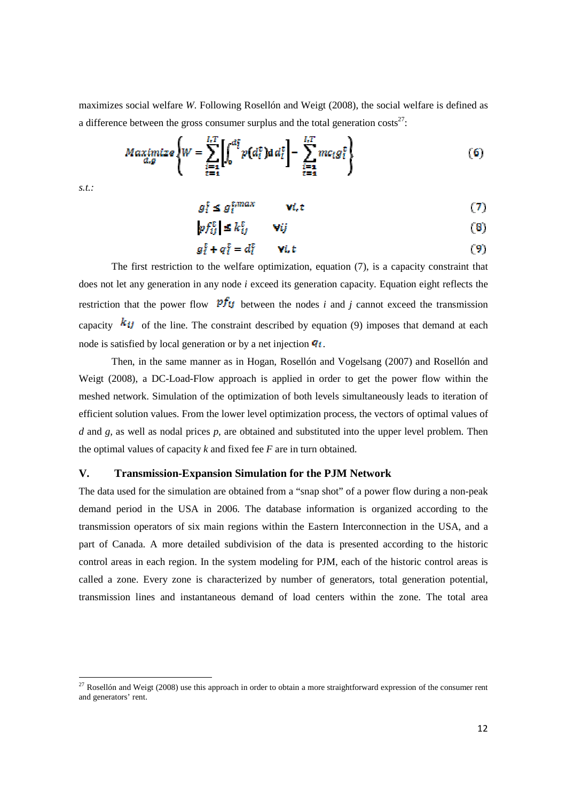maximizes social welfare *W*. Following Rosellón and Weigt (2008), the social welfare is defined as a difference between the gross consumer surplus and the total generation costs<sup>27</sup>:

$$
Maximize\limits_{d,g} \left\{ W = \sum_{\substack{i=1\\i=1}}^{L,T} \left[ \int_0^{d_i^c} p(d_i^c) \mathbf{d} \, d_i^c \right] - \sum_{\substack{i=1\\i=1}}^{L,T} mc_i g_i^c \right\} \tag{6}
$$

*s.t.:* 

 $\overline{a}$ 

$$
g_i^t \le g_i^{t,max} \qquad \forall i, t \tag{7}
$$

$$
pf_{ij}^t \le k_{ij}^t \qquad \forall ij \tag{8}
$$

$$
g_t^t + q_t^t = d_t^t \qquad \forall i, t \tag{9}
$$

The first restriction to the welfare optimization, equation (7), is a capacity constraint that does not let any generation in any node *i* exceed its generation capacity. Equation eight reflects the restriction that the power flow  $Pf_{ij}$  between the nodes *i* and *j* cannot exceed the transmission capacity  $\vec{k}$  is of the line. The constraint described by equation (9) imposes that demand at each node is satisfied by local generation or by a net injection  $q_i$ .

 Then, in the same manner as in Hogan, Rosellón and Vogelsang (2007) and Rosellón and Weigt (2008), a DC-Load-Flow approach is applied in order to get the power flow within the meshed network. Simulation of the optimization of both levels simultaneously leads to iteration of efficient solution values. From the lower level optimization process, the vectors of optimal values of *d* and *g,* as well as nodal prices *p*, are obtained and substituted into the upper level problem. Then the optimal values of capacity *k* and fixed fee *F* are in turn obtained.

# **V. Transmission-Expansion Simulation for the PJM Network**

The data used for the simulation are obtained from a "snap shot" of a power flow during a non-peak demand period in the USA in 2006. The database information is organized according to the transmission operators of six main regions within the Eastern Interconnection in the USA, and a part of Canada. A more detailed subdivision of the data is presented according to the historic control areas in each region. In the system modeling for PJM, each of the historic control areas is called a zone. Every zone is characterized by number of generators, total generation potential, transmission lines and instantaneous demand of load centers within the zone. The total area

 $27$  Rosellón and Weigt (2008) use this approach in order to obtain a more straightforward expression of the consumer rent and generators' rent.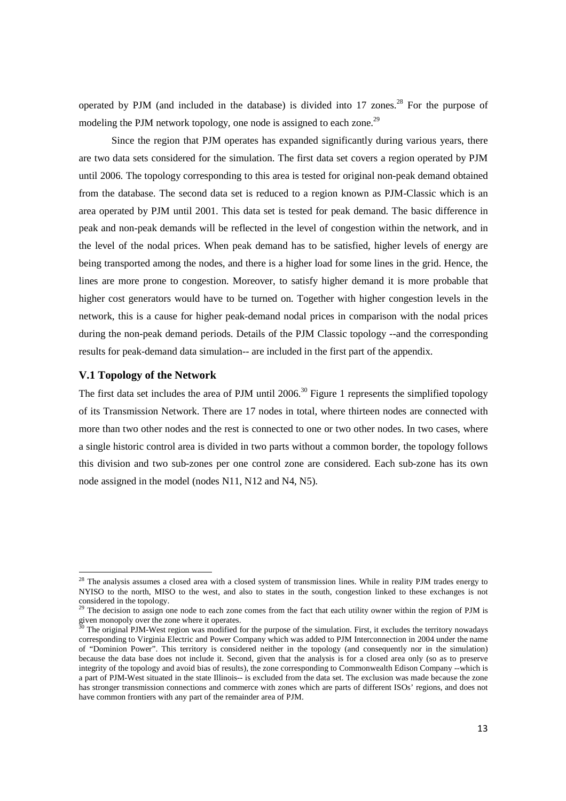operated by PJM (and included in the database) is divided into 17 zones.<sup>28</sup> For the purpose of modeling the PJM network topology, one node is assigned to each zone.<sup>29</sup>

 Since the region that PJM operates has expanded significantly during various years, there are two data sets considered for the simulation. The first data set covers a region operated by PJM until 2006. The topology corresponding to this area is tested for original non-peak demand obtained from the database. The second data set is reduced to a region known as PJM-Classic which is an area operated by PJM until 2001. This data set is tested for peak demand. The basic difference in peak and non-peak demands will be reflected in the level of congestion within the network, and in the level of the nodal prices. When peak demand has to be satisfied, higher levels of energy are being transported among the nodes, and there is a higher load for some lines in the grid. Hence, the lines are more prone to congestion. Moreover, to satisfy higher demand it is more probable that higher cost generators would have to be turned on. Together with higher congestion levels in the network, this is a cause for higher peak-demand nodal prices in comparison with the nodal prices during the non-peak demand periods. Details of the PJM Classic topology --and the corresponding results for peak-demand data simulation-- are included in the first part of the appendix.

#### **V.1 Topology of the Network**

 $\overline{a}$ 

The first data set includes the area of PJM until 2006.<sup>30</sup> Figure 1 represents the simplified topology of its Transmission Network. There are 17 nodes in total, where thirteen nodes are connected with more than two other nodes and the rest is connected to one or two other nodes. In two cases, where a single historic control area is divided in two parts without a common border, the topology follows this division and two sub-zones per one control zone are considered. Each sub-zone has its own node assigned in the model (nodes N11, N12 and N4, N5).

<sup>&</sup>lt;sup>28</sup> The analysis assumes a closed area with a closed system of transmission lines. While in reality PJM trades energy to NYISO to the north, MISO to the west, and also to states in the south, congestion linked to these exchanges is not considered in the topology.

<sup>&</sup>lt;sup>29</sup> The decision to assign one node to each zone comes from the fact that each utility owner within the region of PJM is given monopoly over the zone where it operates.

The original PJM-West region was modified for the purpose of the simulation. First, it excludes the territory nowadays corresponding to Virginia Electric and Power Company which was added to PJM Interconnection in 2004 under the name of "Dominion Power". This territory is considered neither in the topology (and consequently nor in the simulation) because the data base does not include it. Second, given that the analysis is for a closed area only (so as to preserve integrity of the topology and avoid bias of results), the zone corresponding to Commonwealth Edison Company --which is a part of PJM-West situated in the state Illinois-- is excluded from the data set. The exclusion was made because the zone has stronger transmission connections and commerce with zones which are parts of different ISOs' regions, and does not have common frontiers with any part of the remainder area of PJM.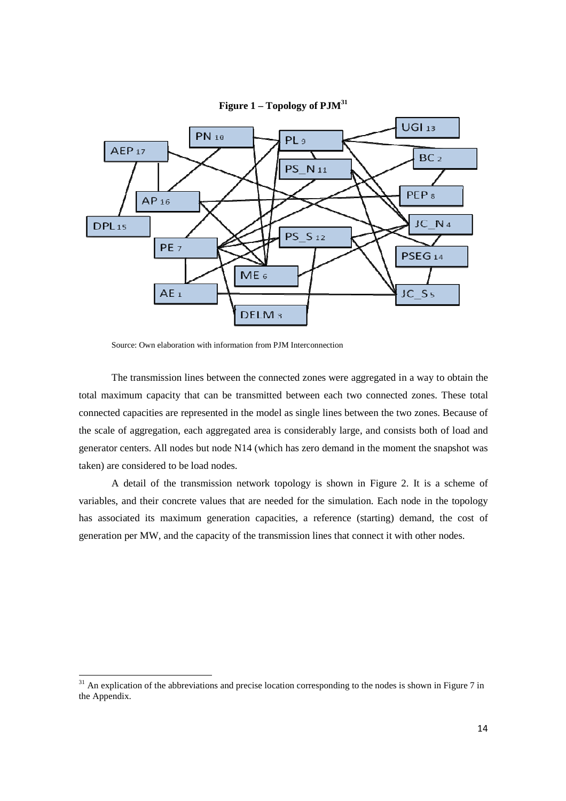

Source: Own elaboration with information from PJM Interconnection

The transmission lines between the connected zones were aggregated in a way to obtain the total maximum capacity that can be transmitted between each two connected zones. These total connected capacities are represented in the model as single lines between the two zones. Because of the scale of aggregation, each aggregated area is considerably large, and consists both of load and generator centers. All nodes but node N14 (which has zero demand in the moment the snapshot was taken) are considered to be load nodes.

A detail of the transmission network topology is shown in Figure 2. It is a scheme of variables, and their concrete values that are needed for the simulation. Each node in the topology has associated its maximum generation capacities, a reference (starting) demand, the cost of generation per MW, and the capacity of the transmission lines that connect it with other nodes.

 $\overline{a}$ 

<sup>&</sup>lt;sup>31</sup> An explication of the abbreviations and precise location corresponding to the nodes is shown in Figure 7 in the Appendix.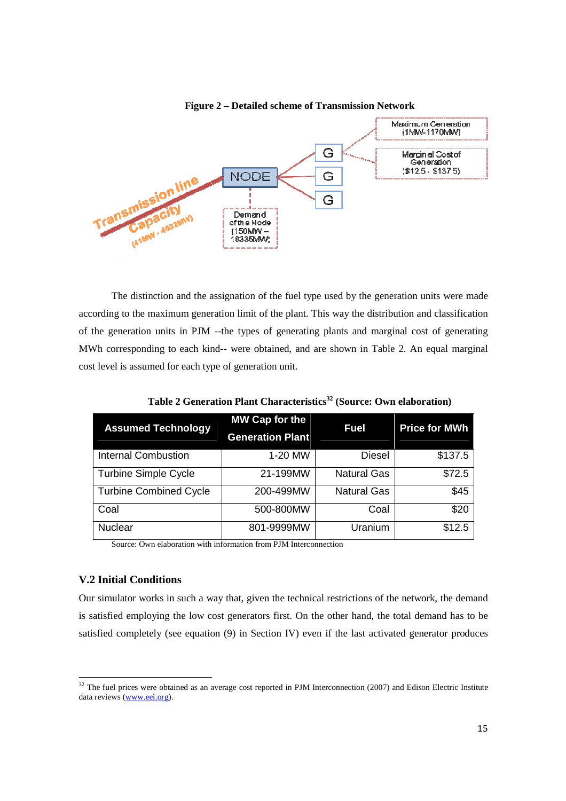

**Figure 2 – Detailed scheme of Transmission Network** 

The distinction and the assignation of the fuel type used by the generation units were made according to the maximum generation limit of the plant. This way the distribution and classification of the generation units in PJM --the types of generating plants and marginal cost of generating MWh corresponding to each kind-- were obtained, and are shown in Table 2. An equal marginal cost level is assumed for each type of generation unit.

**Assumed Technology MW Cap for the Generation Plant Fuel Price for MWh** Internal Combustion  $\vert$  1-20 MW  $\vert$  Diesel \$137.5 Turbine Simple Cycle | 21-199MW | Natural Gas | \$72.5 Turbine Combined Cycle | 200-499MW | Natural Gas | \$45 Coal 500-800MW Coal \$20 Nuclear 801-9999MW Uranium \$12.5

**Table 2 Generation Plant Characteristics<sup>32</sup> (Source: Own elaboration)** 

Source: Own elaboration with information from PJM Interconnection

# **V.2 Initial Conditions**

 $\overline{a}$ 

Our simulator works in such a way that, given the technical restrictions of the network, the demand is satisfied employing the low cost generators first. On the other hand, the total demand has to be satisfied completely (see equation (9) in Section IV) even if the last activated generator produces

<sup>&</sup>lt;sup>32</sup> The fuel prices were obtained as an average cost reported in PJM Interconnection (2007) and Edison Electric Institute data reviews (www.eei.org).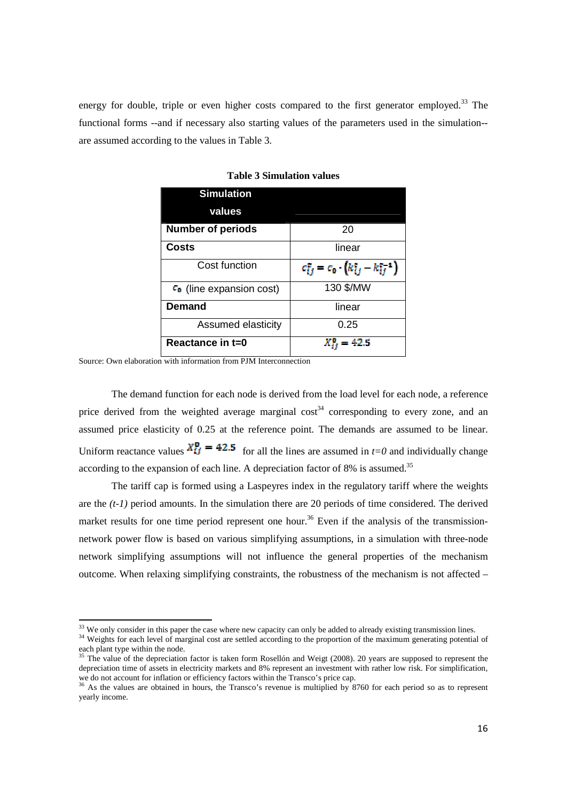energy for double, triple or even higher costs compared to the first generator employed.<sup>33</sup> The functional forms --and if necessary also starting values of the parameters used in the simulation- are assumed according to the values in Table 3.

| <b>Simulation</b>           |                                                      |
|-----------------------------|------------------------------------------------------|
| values                      |                                                      |
| <b>Number of periods</b>    | 20                                                   |
| Costs                       | linear                                               |
| Cost function               | $c_{ij}^{t} = c_0 \cdot (k_{ij}^{t} - k_{ij}^{t-1})$ |
| $C_0$ (line expansion cost) | 130 \$/MW                                            |
| <b>Demand</b>               | linear                                               |
| Assumed elasticity          | 0.25                                                 |
| Reactance in t=0            | ΧН.                                                  |

**Table 3 Simulation values** 

Source: Own elaboration with information from PJM Interconnection

l,

 The demand function for each node is derived from the load level for each node, a reference price derived from the weighted average marginal  $cost<sup>34</sup>$  corresponding to every zone, and an assumed price elasticity of 0.25 at the reference point. The demands are assumed to be linear. Uniform reactance values  $X_{ij}^0 = 42.5$  for all the lines are assumed in  $t=0$  and individually change according to the expansion of each line. A depreciation factor of  $8\%$  is assumed.<sup>35</sup>

 The tariff cap is formed using a Laspeyres index in the regulatory tariff where the weights are the *(t-1)* period amounts. In the simulation there are 20 periods of time considered. The derived market results for one time period represent one hour.<sup>36</sup> Even if the analysis of the transmissionnetwork power flow is based on various simplifying assumptions, in a simulation with three-node network simplifying assumptions will not influence the general properties of the mechanism outcome. When relaxing simplifying constraints, the robustness of the mechanism is not affected –

<sup>&</sup>lt;sup>33</sup> We only consider in this paper the case where new capacity can only be added to already existing transmission lines.

<sup>&</sup>lt;sup>34</sup> Weights for each level of marginal cost are settled according to the proportion of the maximum generating potential of each plant type within the node.

 $35$  The value of the depreciation factor is taken form Rosellón and Weigt (2008). 20 years are supposed to represent the depreciation time of assets in electricity markets and 8% represent an investment with rather low risk. For simplification, we do not account for inflation or efficiency factors within the Transco's price cap.

<sup>&</sup>lt;sup>36</sup> As the values are obtained in hours, the Transco's revenue is multiplied by 8760 for each period so as to represent yearly income.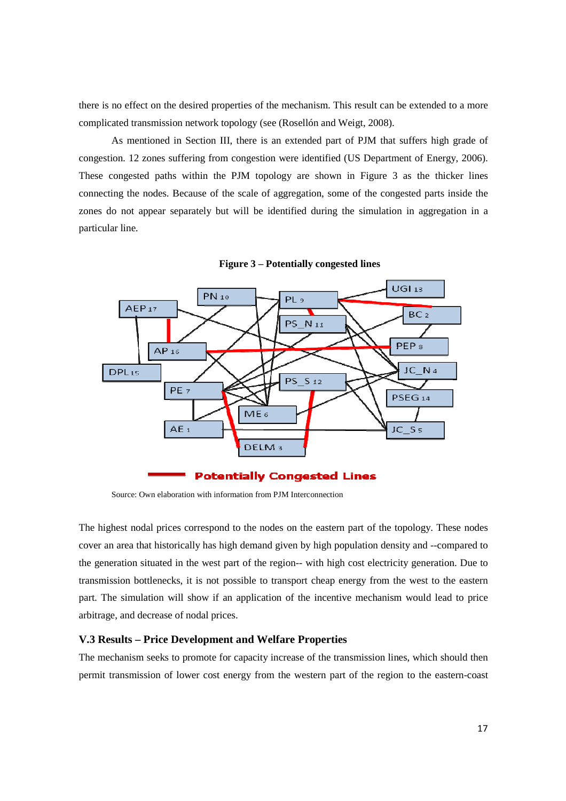there is no effect on the desired properties of the mechanism. This result can be extended to a more complicated transmission network topology (see (Rosellón and Weigt, 2008).

 As mentioned in Section III, there is an extended part of PJM that suffers high grade of congestion. 12 zones suffering from congestion were identified (US Department of Energy, 2006). These congested paths within the PJM topology are shown in Figure 3 as the thicker lines connecting the nodes. Because of the scale of aggregation, some of the congested parts inside the zones do not appear separately but will be identified during the simulation in aggregation in a particular line.





Source: Own elaboration with information from PJM Interconnection

The highest nodal prices correspond to the nodes on the eastern part of the topology. These nodes cover an area that historically has high demand given by high population density and --compared to the generation situated in the west part of the region-- with high cost electricity generation. Due to transmission bottlenecks, it is not possible to transport cheap energy from the west to the eastern part. The simulation will show if an application of the incentive mechanism would lead to price arbitrage, and decrease of nodal prices.

# **V.3 Results – Price Development and Welfare Properties**

The mechanism seeks to promote for capacity increase of the transmission lines, which should then permit transmission of lower cost energy from the western part of the region to the eastern-coast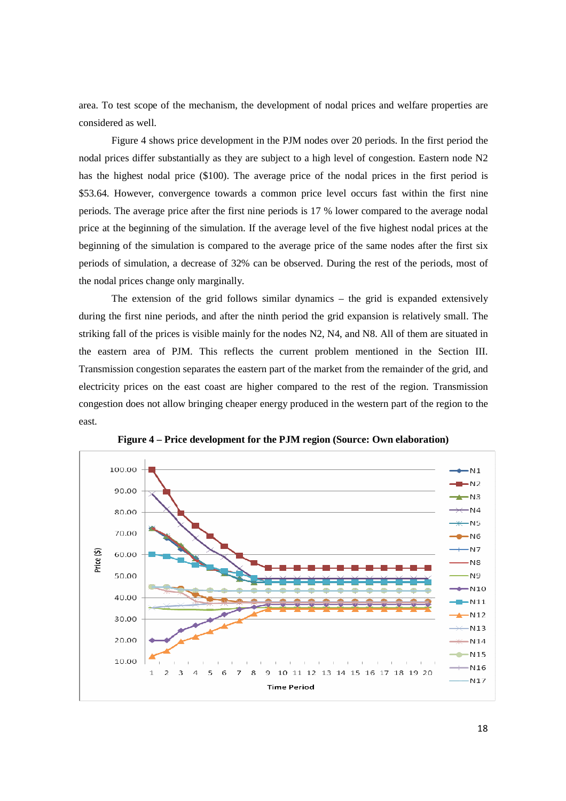area. To test scope of the mechanism, the development of nodal prices and welfare properties are considered as well.

Figure 4 shows price development in the PJM nodes over 20 periods. In the first period the nodal prices differ substantially as they are subject to a high level of congestion. Eastern node N2 has the highest nodal price (\$100). The average price of the nodal prices in the first period is \$53.64. However, convergence towards a common price level occurs fast within the first nine periods. The average price after the first nine periods is 17 % lower compared to the average nodal price at the beginning of the simulation. If the average level of the five highest nodal prices at the beginning of the simulation is compared to the average price of the same nodes after the first six periods of simulation, a decrease of 32% can be observed. During the rest of the periods, most of the nodal prices change only marginally.

The extension of the grid follows similar dynamics – the grid is expanded extensively during the first nine periods, and after the ninth period the grid expansion is relatively small. The striking fall of the prices is visible mainly for the nodes N2, N4, and N8. All of them are situated in the eastern area of PJM. This reflects the current problem mentioned in the Section III. Transmission congestion separates the eastern part of the market from the remainder of the grid, and electricity prices on the east coast are higher compared to the rest of the region. Transmission congestion does not allow bringing cheaper energy produced in the western part of the region to the east.



**Figure 4 – Price development for the PJM region (Source: Own elaboration)**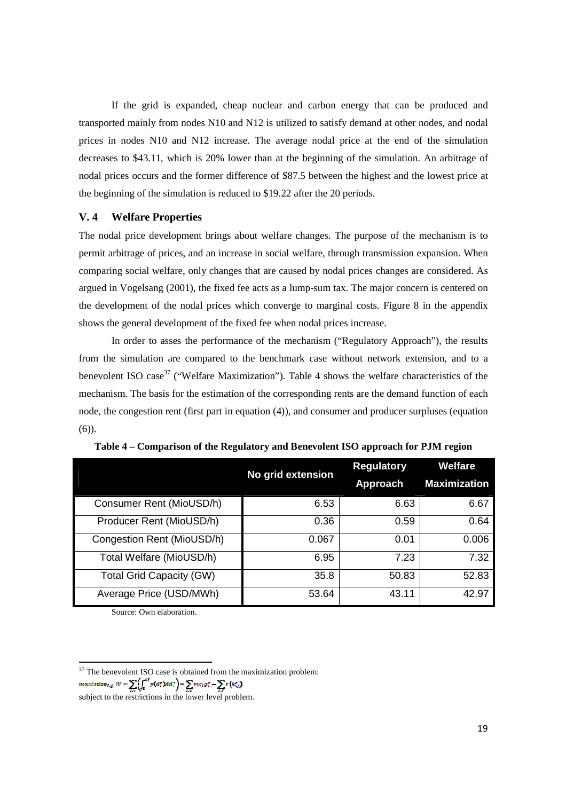If the grid is expanded, cheap nuclear and carbon energy that can be produced and transported mainly from nodes N10 and N12 is utilized to satisfy demand at other nodes, and nodal prices in nodes N10 and N12 increase. The average nodal price at the end of the simulation decreases to \$43.11, which is 20% lower than at the beginning of the simulation. An arbitrage of nodal prices occurs and the former difference of \$87.5 between the highest and the lowest price at the beginning of the simulation is reduced to \$19.22 after the 20 periods.

#### **V. 4 Welfare Properties**

The nodal price development brings about welfare changes. The purpose of the mechanism is to permit arbitrage of prices, and an increase in social welfare, through transmission expansion. When comparing social welfare, only changes that are caused by nodal prices changes are considered. As argued in Vogelsang (2001), the fixed fee acts as a lump-sum tax. The major concern is centered on the development of the nodal prices which converge to marginal costs. Figure 8 in the appendix shows the general development of the fixed fee when nodal prices increase.

 In order to asses the performance of the mechanism ("Regulatory Approach"), the results from the simulation are compared to the benchmark case without network extension, and to a benevolent ISO case<sup>37</sup> ("Welfare Maximization"). Table 4 shows the welfare characteristics of the mechanism. The basis for the estimation of the corresponding rents are the demand function of each node, the congestion rent (first part in equation (4)), and consumer and producer surpluses (equation (6)).

|                                 | No grid extension | <b>Regulatory</b> | <b>Welfare</b>      |
|---------------------------------|-------------------|-------------------|---------------------|
|                                 |                   | Approach          | <b>Maximization</b> |
| Consumer Rent (MioUSD/h)        | 6.53              | 6.63              | 6.67                |
| Producer Rent (MioUSD/h)        | 0.36              | 0.59              | 0.64                |
| Congestion Rent (MioUSD/h)      | 0.067             | 0.01              | 0.006               |
| Total Welfare (MioUSD/h)        | 6.95              | 7.23              | 7.32                |
| <b>Total Grid Capacity (GW)</b> | 35.8              | 50.83             | 52.83               |
| Average Price (USD/MWh)         | 53.64             | 43.11             | 42.97               |

**Table 4 – Comparison of the Regulatory and Benevolent ISO approach for PJM region** 

Source: Own elaboration.

 $\overline{a}$ 

<sup>&</sup>lt;sup>37</sup> The benevolent ISO case is obtained from the maximization problem:<br> $maximize_{i,g} W = \sum_{i,s} \left( \int_0^{a_i^s} p(a_i^s) da_i^s \right) - \sum_{i,s} n c_i g_i^s - \sum_{i,s} c(b_i^s)$ 

subject to the restrictions in the lower level problem.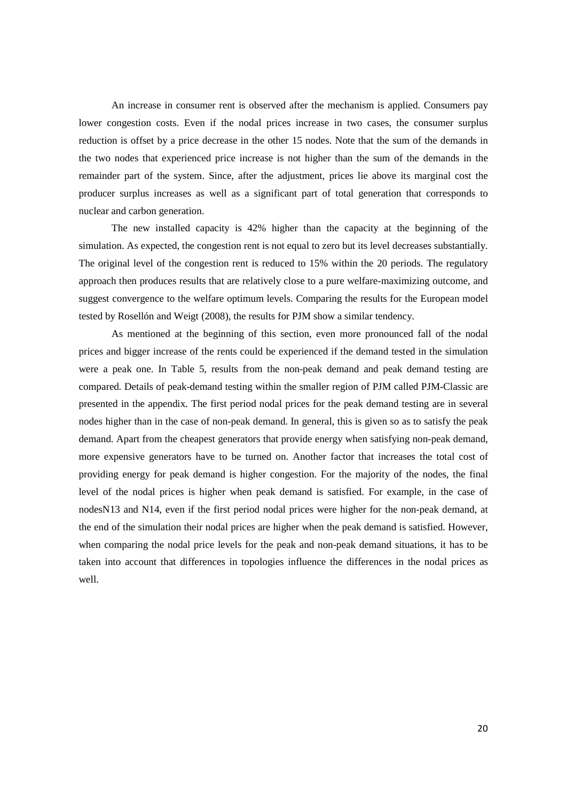An increase in consumer rent is observed after the mechanism is applied. Consumers pay lower congestion costs. Even if the nodal prices increase in two cases, the consumer surplus reduction is offset by a price decrease in the other 15 nodes. Note that the sum of the demands in the two nodes that experienced price increase is not higher than the sum of the demands in the remainder part of the system. Since, after the adjustment, prices lie above its marginal cost the producer surplus increases as well as a significant part of total generation that corresponds to nuclear and carbon generation.

The new installed capacity is 42% higher than the capacity at the beginning of the simulation. As expected, the congestion rent is not equal to zero but its level decreases substantially. The original level of the congestion rent is reduced to 15% within the 20 periods. The regulatory approach then produces results that are relatively close to a pure welfare-maximizing outcome, and suggest convergence to the welfare optimum levels. Comparing the results for the European model tested by Rosellón and Weigt (2008), the results for PJM show a similar tendency.

As mentioned at the beginning of this section, even more pronounced fall of the nodal prices and bigger increase of the rents could be experienced if the demand tested in the simulation were a peak one. In Table 5, results from the non-peak demand and peak demand testing are compared. Details of peak-demand testing within the smaller region of PJM called PJM-Classic are presented in the appendix. The first period nodal prices for the peak demand testing are in several nodes higher than in the case of non-peak demand. In general, this is given so as to satisfy the peak demand. Apart from the cheapest generators that provide energy when satisfying non-peak demand, more expensive generators have to be turned on. Another factor that increases the total cost of providing energy for peak demand is higher congestion. For the majority of the nodes, the final level of the nodal prices is higher when peak demand is satisfied. For example, in the case of nodesN13 and N14, even if the first period nodal prices were higher for the non-peak demand, at the end of the simulation their nodal prices are higher when the peak demand is satisfied. However, when comparing the nodal price levels for the peak and non-peak demand situations, it has to be taken into account that differences in topologies influence the differences in the nodal prices as well.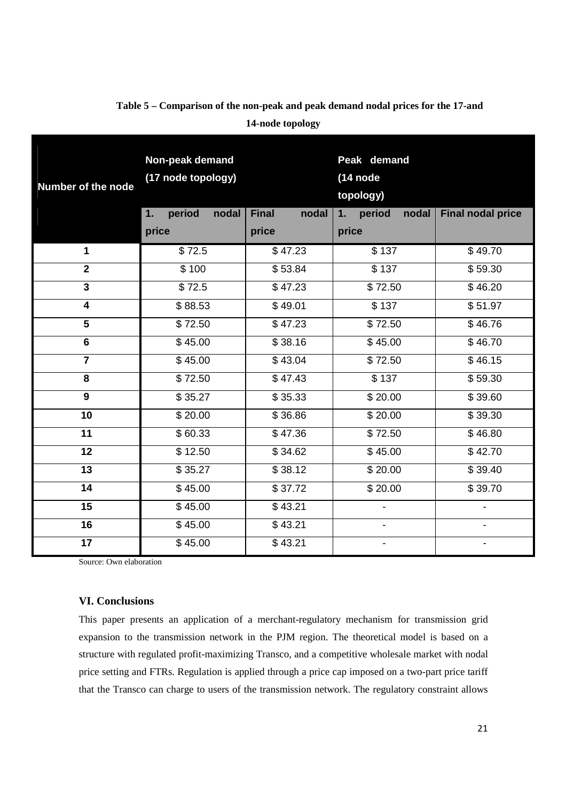| Number of the node      | Non-peak demand<br>(17 node topology) |                       | Peak demand<br>$(14$ node<br>topology) |                          |
|-------------------------|---------------------------------------|-----------------------|----------------------------------------|--------------------------|
|                         | 1.<br>period<br>nodal                 | <b>Final</b><br>nodal | nodal<br>1.<br>period                  | <b>Final nodal price</b> |
|                         | price                                 | price                 | price                                  |                          |
| $\mathbf{1}$            | \$72.5                                | $\sqrt{$47.23}$       | $\overline{\$}$ 137                    | $\sqrt{$49.70}$          |
| $\overline{2}$          | \$100                                 | \$53.84               | \$137                                  | \$59.30                  |
| $\overline{3}$          | \$72.5                                | \$47.23               | \$72.50                                | \$46.20                  |
| $\overline{\mathbf{4}}$ | \$88.53                               | \$49.01               | \$137                                  | \$51.97                  |
| $\overline{5}$          | \$72.50                               | \$47.23               | \$72.50                                | \$46.76                  |
| 6                       | \$45.00                               | \$38.16               | \$45.00                                | \$46.70                  |
| $\overline{7}$          | \$45.00                               | \$43.04               | \$72.50                                | \$46.15                  |
| $\overline{\mathbf{8}}$ | \$72.50                               | \$47.43               | \$137                                  | \$59.30                  |
| 9                       | \$35.27                               | \$35.33               | \$20.00                                | \$39.60                  |
| 10                      | \$20.00                               | \$36.86               | \$20.00                                | \$39.30                  |
| $\overline{11}$         | \$60.33                               | \$47.36               | \$72.50                                | \$46.80                  |
| 12                      | \$12.50                               | \$34.62               | \$45.00                                | \$42.70                  |
| 13                      | \$35.27                               | \$38.12               | \$20.00                                | \$39.40                  |
| $\overline{14}$         | \$45.00                               | $\sqrt{$}37.72$       | \$20.00                                | \$39.70                  |
| 15                      | \$45.00                               | \$43.21               |                                        |                          |
| 16                      | \$45.00                               | \$43.21               | $\overline{\phantom{a}}$               | $\overline{\phantom{a}}$ |
| 17                      | \$45.00                               | \$43.21               | $\overline{\phantom{a}}$               | $\overline{\phantom{a}}$ |

**Table 5 – Comparison of the non-peak and peak demand nodal prices for the 17-and 14-node topology** 

Source: Own elaboration

# **VI. Conclusions**

This paper presents an application of a merchant-regulatory mechanism for transmission grid expansion to the transmission network in the PJM region. The theoretical model is based on a structure with regulated profit-maximizing Transco, and a competitive wholesale market with nodal price setting and FTRs. Regulation is applied through a price cap imposed on a two-part price tariff that the Transco can charge to users of the transmission network. The regulatory constraint allows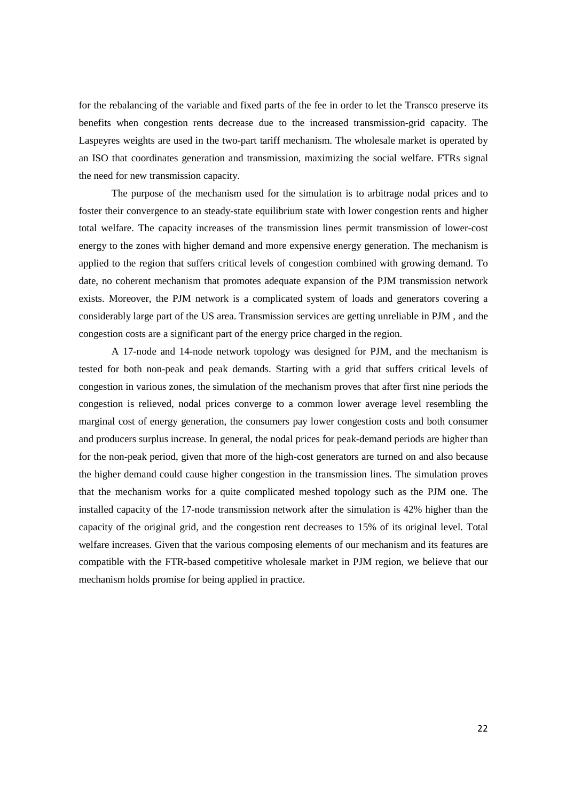for the rebalancing of the variable and fixed parts of the fee in order to let the Transco preserve its benefits when congestion rents decrease due to the increased transmission-grid capacity. The Laspeyres weights are used in the two-part tariff mechanism. The wholesale market is operated by an ISO that coordinates generation and transmission, maximizing the social welfare. FTRs signal the need for new transmission capacity.

 The purpose of the mechanism used for the simulation is to arbitrage nodal prices and to foster their convergence to an steady-state equilibrium state with lower congestion rents and higher total welfare. The capacity increases of the transmission lines permit transmission of lower-cost energy to the zones with higher demand and more expensive energy generation. The mechanism is applied to the region that suffers critical levels of congestion combined with growing demand. To date, no coherent mechanism that promotes adequate expansion of the PJM transmission network exists. Moreover, the PJM network is a complicated system of loads and generators covering a considerably large part of the US area. Transmission services are getting unreliable in PJM , and the congestion costs are a significant part of the energy price charged in the region.

 A 17-node and 14-node network topology was designed for PJM, and the mechanism is tested for both non-peak and peak demands. Starting with a grid that suffers critical levels of congestion in various zones, the simulation of the mechanism proves that after first nine periods the congestion is relieved, nodal prices converge to a common lower average level resembling the marginal cost of energy generation, the consumers pay lower congestion costs and both consumer and producers surplus increase. In general, the nodal prices for peak-demand periods are higher than for the non-peak period, given that more of the high-cost generators are turned on and also because the higher demand could cause higher congestion in the transmission lines. The simulation proves that the mechanism works for a quite complicated meshed topology such as the PJM one. The installed capacity of the 17-node transmission network after the simulation is 42% higher than the capacity of the original grid, and the congestion rent decreases to 15% of its original level. Total welfare increases. Given that the various composing elements of our mechanism and its features are compatible with the FTR-based competitive wholesale market in PJM region, we believe that our mechanism holds promise for being applied in practice.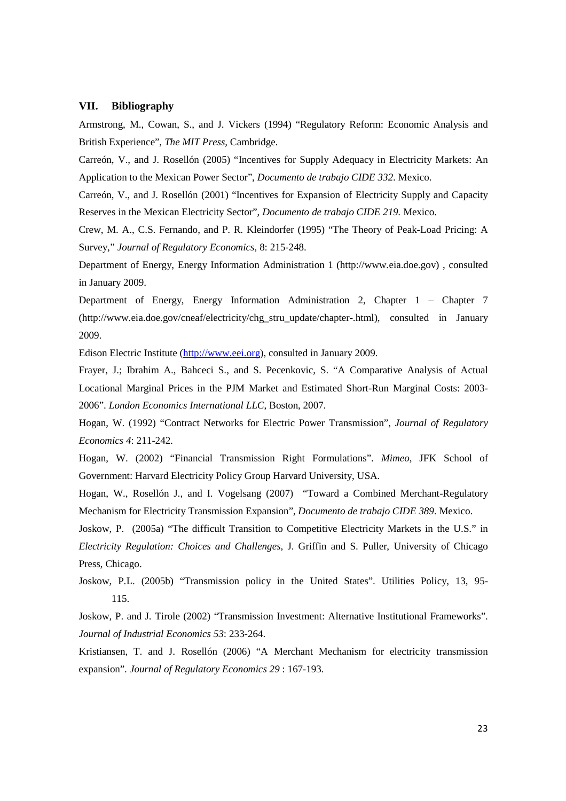#### **VII. Bibliography**

Armstrong, M., Cowan, S., and J. Vickers (1994) "Regulatory Reform: Economic Analysis and British Experience", *The MIT Press,* Cambridge.

Carreón, V., and J. Rosellón (2005) "Incentives for Supply Adequacy in Electricity Markets: An Application to the Mexican Power Sector", *Documento de trabajo CIDE 332*. Mexico.

Carreón, V., and J. Rosellón (2001) "Incentives for Expansion of Electricity Supply and Capacity Reserves in the Mexican Electricity Sector", *Documento de trabajo CIDE 219*. Mexico.

Crew, M. A., C.S. Fernando, and P. R. Kleindorfer (1995) "The Theory of Peak-Load Pricing: A Survey," *Journal of Regulatory Economics*, 8: 215-248.

Department of Energy, Energy Information Administration 1 (http://www.eia.doe.gov) , consulted in January 2009.

Department of Energy, Energy Information Administration 2, Chapter 1 – Chapter 7 (http://www.eia.doe.gov/cneaf/electricity/chg\_stru\_update/chapter-.html), consulted in January 2009.

Edison Electric Institute (http://www.eei.org), consulted in January 2009.

Frayer, J.; Ibrahim A., Bahceci S., and S. Pecenkovic, S. "A Comparative Analysis of Actual Locational Marginal Prices in the PJM Market and Estimated Short-Run Marginal Costs: 2003- 2006". *London Economics International LLC*, Boston, 2007.

Hogan, W. (1992) "Contract Networks for Electric Power Transmission", *Journal of Regulatory Economics 4*: 211-242.

Hogan, W. (2002) "Financial Transmission Right Formulations". *Mimeo,* JFK School of Government: Harvard Electricity Policy Group Harvard University, USA.

Hogan, W., Rosellón J., and I. Vogelsang (2007) "Toward a Combined Merchant-Regulatory Mechanism for Electricity Transmission Expansion", *Documento de trabajo CIDE 389*. Mexico.

Joskow, P. (2005a) "The difficult Transition to Competitive Electricity Markets in the U.S." in *Electricity Regulation: Choices and Challenges*, J. Griffin and S. Puller, University of Chicago Press, Chicago.

Joskow, P.L. (2005b) "Transmission policy in the United States". Utilities Policy, 13, 95- 115.

Joskow, P. and J. Tirole (2002) "Transmission Investment: Alternative Institutional Frameworks". *Journal of Industrial Economics 53*: 233-264.

Kristiansen, T. and J. Rosellón (2006) "A Merchant Mechanism for electricity transmission expansion". *Journal of Regulatory Economics 29* : 167-193.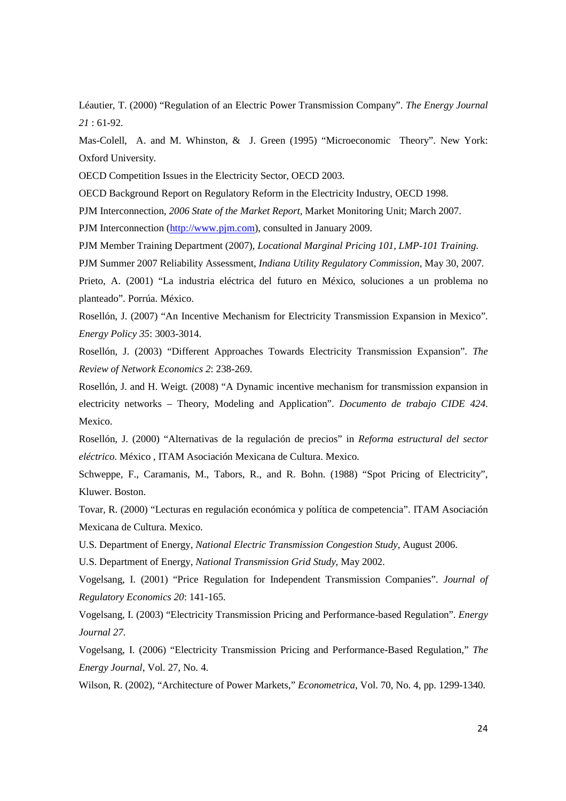Léautier, T. (2000) "Regulation of an Electric Power Transmission Company". *The Energy Journal 21* : 61-92.

Mas-Colell, A. and M. Whinston, & J. Green (1995) "Microeconomic Theory". New York: Oxford University.

OECD Competition Issues in the Electricity Sector, OECD 2003.

OECD Background Report on Regulatory Reform in the Electricity Industry, OECD 1998.

PJM Interconnection, *2006 State of the Market Report*, Market Monitoring Unit; March 2007.

PJM Interconnection (http://www.pjm.com), consulted in January 2009.

PJM Member Training Department (2007), *Locational Marginal Pricing 101*, *LMP-101 Training*.

PJM Summer 2007 Reliability Assessment, *Indiana Utility Regulatory Commission*, May 30, 2007.

Prieto, A. (2001) "La industria eléctrica del futuro en México, soluciones a un problema no planteado". Porrúa. México.

Rosellón, J. (2007) "An Incentive Mechanism for Electricity Transmission Expansion in Mexico". *Energy Policy 35*: 3003-3014.

Rosellón, J. (2003) "Different Approaches Towards Electricity Transmission Expansion". *The Review of Network Economics 2*: 238-269.

Rosellón, J. and H. Weigt. (2008) "A Dynamic incentive mechanism for transmission expansion in electricity networks – Theory, Modeling and Application". *Documento de trabajo CIDE 424*. Mexico.

Rosellón, J. (2000) "Alternativas de la regulación de precios" in *Reforma estructural del sector eléctrico*. México , ITAM Asociación Mexicana de Cultura. Mexico.

Schweppe, F., Caramanis, M., Tabors, R., and R. Bohn. (1988) "Spot Pricing of Electricity", Kluwer. Boston.

Tovar, R. (2000) "Lecturas en regulación económica y política de competencia". ITAM Asociación Mexicana de Cultura. Mexico.

U.S. Department of Energy, *National Electric Transmission Congestion Study*, August 2006.

U.S. Department of Energy, *National Transmission Grid Study*, May 2002.

Vogelsang, I. (2001) "Price Regulation for Independent Transmission Companies". *Journal of Regulatory Economics 20*: 141-165.

Vogelsang, I. (2003) "Electricity Transmission Pricing and Performance-based Regulation". *Energy Journal 27*.

Vogelsang, I. (2006) "Electricity Transmission Pricing and Performance-Based Regulation," *The Energy Journal*, Vol. 27, No. 4.

Wilson, R. (2002), "Architecture of Power Markets," *Econometrica*, Vol. 70, No. 4, pp. 1299-1340.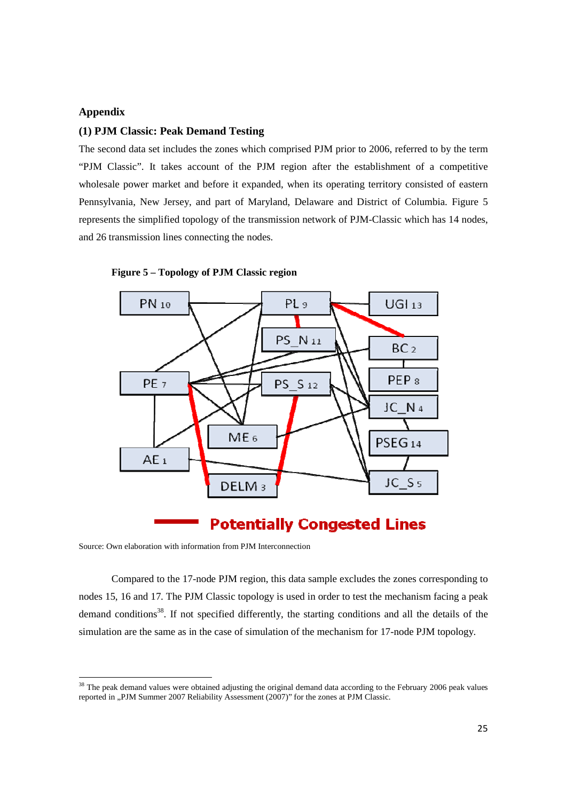# **Appendix**

 $\overline{a}$ 

# **(1) PJM Classic: Peak Demand Testing**

The second data set includes the zones which comprised PJM prior to 2006, referred to by the term "PJM Classic". It takes account of the PJM region after the establishment of a competitive wholesale power market and before it expanded, when its operating territory consisted of eastern Pennsylvania, New Jersey, and part of Maryland, Delaware and District of Columbia. Figure 5 represents the simplified topology of the transmission network of PJM-Classic which has 14 nodes, and 26 transmission lines connecting the nodes.



**Figure 5 – Topology of PJM Classic region** 

**Potentially Congested Lines** 

Source: Own elaboration with information from PJM Interconnection

Compared to the 17-node PJM region, this data sample excludes the zones corresponding to nodes 15, 16 and 17. The PJM Classic topology is used in order to test the mechanism facing a peak demand conditions<sup>38</sup>. If not specified differently, the starting conditions and all the details of the simulation are the same as in the case of simulation of the mechanism for 17-node PJM topology.

<sup>&</sup>lt;sup>38</sup> The peak demand values were obtained adjusting the original demand data according to the February 2006 peak values reported in "PJM Summer 2007 Reliability Assessment (2007)" for the zones at PJM Classic.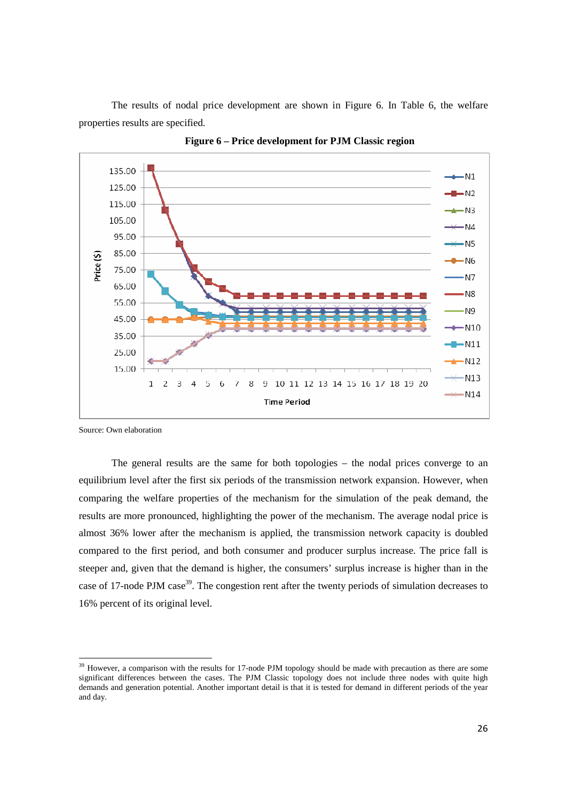The results of nodal price development are shown in Figure 6. In Table 6, the welfare properties results are specified.



**Figure 6 – Price development for PJM Classic region**

Source: Own elaboration

 $\overline{a}$ 

The general results are the same for both topologies – the nodal prices converge to an equilibrium level after the first six periods of the transmission network expansion. However, when comparing the welfare properties of the mechanism for the simulation of the peak demand, the results are more pronounced, highlighting the power of the mechanism. The average nodal price is almost 36% lower after the mechanism is applied, the transmission network capacity is doubled compared to the first period, and both consumer and producer surplus increase. The price fall is steeper and, given that the demand is higher, the consumers' surplus increase is higher than in the case of 17-node PJM case<sup>39</sup>. The congestion rent after the twenty periods of simulation decreases to 16% percent of its original level.

<sup>&</sup>lt;sup>39</sup> However, a comparison with the results for 17-node PJM topology should be made with precaution as there are some significant differences between the cases. The PJM Classic topology does not include three nodes with quite high demands and generation potential. Another important detail is that it is tested for demand in different periods of the year and day.